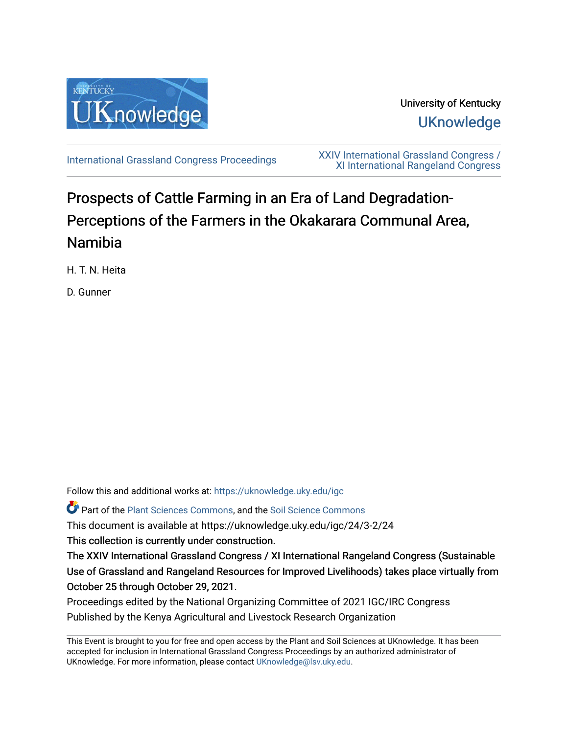

University of Kentucky **UKnowledge** 

[International Grassland Congress Proceedings](https://uknowledge.uky.edu/igc) [XXIV International Grassland Congress /](https://uknowledge.uky.edu/igc/24)  [XI International Rangeland Congress](https://uknowledge.uky.edu/igc/24) 

# Prospects of Cattle Farming in an Era of Land Degradation-Perceptions of the Farmers in the Okakarara Communal Area, Namibia

H. T. N. Heita

D. Gunner

Follow this and additional works at: [https://uknowledge.uky.edu/igc](https://uknowledge.uky.edu/igc?utm_source=uknowledge.uky.edu%2Figc%2F24%2F3-2%2F24&utm_medium=PDF&utm_campaign=PDFCoverPages) 

Part of the [Plant Sciences Commons](http://network.bepress.com/hgg/discipline/102?utm_source=uknowledge.uky.edu%2Figc%2F24%2F3-2%2F24&utm_medium=PDF&utm_campaign=PDFCoverPages), and the [Soil Science Commons](http://network.bepress.com/hgg/discipline/163?utm_source=uknowledge.uky.edu%2Figc%2F24%2F3-2%2F24&utm_medium=PDF&utm_campaign=PDFCoverPages) 

This document is available at https://uknowledge.uky.edu/igc/24/3-2/24

This collection is currently under construction.

The XXIV International Grassland Congress / XI International Rangeland Congress (Sustainable Use of Grassland and Rangeland Resources for Improved Livelihoods) takes place virtually from October 25 through October 29, 2021.

Proceedings edited by the National Organizing Committee of 2021 IGC/IRC Congress Published by the Kenya Agricultural and Livestock Research Organization

This Event is brought to you for free and open access by the Plant and Soil Sciences at UKnowledge. It has been accepted for inclusion in International Grassland Congress Proceedings by an authorized administrator of UKnowledge. For more information, please contact [UKnowledge@lsv.uky.edu](mailto:UKnowledge@lsv.uky.edu).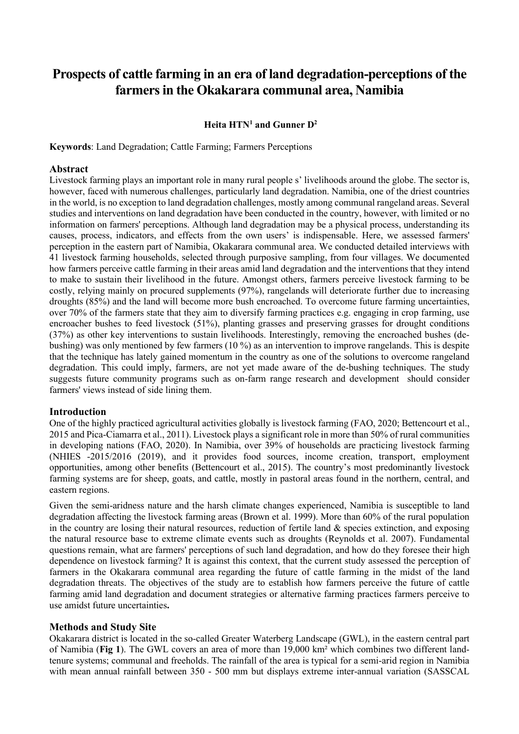# **Prospects of cattle farming in an era of land degradation-perceptions of the farmers in the Okakarara communal area, Namibia**

# **Heita HTN1 and Gunner D2**

**Keywords**: Land Degradation; Cattle Farming; Farmers Perceptions

#### **Abstract**

Livestock farming plays an important role in many rural people s' livelihoods around the globe. The sector is, however, faced with numerous challenges, particularly land degradation. Namibia, one of the driest countries in the world, is no exception to land degradation challenges, mostly among communal rangeland areas. Several studies and interventions on land degradation have been conducted in the country, however, with limited or no information on farmers' perceptions. Although land degradation may be a physical process, understanding its causes, process, indicators, and effects from the own users' is indispensable. Here, we assessed farmers' perception in the eastern part of Namibia, Okakarara communal area. We conducted detailed interviews with 41 livestock farming households, selected through purposive sampling, from four villages. We documented how farmers perceive cattle farming in their areas amid land degradation and the interventions that they intend to make to sustain their livelihood in the future. Amongst others, farmers perceive livestock farming to be costly, relying mainly on procured supplements (97%), rangelands will deteriorate further due to increasing droughts (85%) and the land will become more bush encroached. To overcome future farming uncertainties, over 70% of the farmers state that they aim to diversify farming practices e.g. engaging in crop farming, use encroacher bushes to feed livestock (51%), planting grasses and preserving grasses for drought conditions (37%) as other key interventions to sustain livelihoods. Interestingly, removing the encroached bushes (debushing) was only mentioned by few farmers (10 %) as an intervention to improve rangelands. This is despite that the technique has lately gained momentum in the country as one of the solutions to overcome rangeland degradation. This could imply, farmers, are not yet made aware of the de-bushing techniques. The study suggests future community programs such as on-farm range research and development should consider farmers' views instead of side lining them.

#### **Introduction**

One of the highly practiced agricultural activities globally is livestock farming (FAO, 2020; Bettencourt et al., 2015 and Pica-Ciamarra et al., 2011). Livestock plays a significant role in more than 50% of rural communities in developing nations (FAO, 2020). In Namibia, over 39% of households are practicing livestock farming (NHIES -2015/2016 (2019), and it provides food sources, income creation, transport, employment opportunities, among other benefits (Bettencourt et al., 2015). The country's most predominantly livestock farming systems are for sheep, goats, and cattle, mostly in pastoral areas found in the northern, central, and eastern regions.

Given the semi-aridness nature and the harsh climate changes experienced, Namibia is susceptible to land degradation affecting the livestock farming areas (Brown et al. 1999). More than 60% of the rural population in the country are losing their natural resources, reduction of fertile land & species extinction, and exposing the natural resource base to extreme climate events such as droughts (Reynolds et al. 2007). Fundamental questions remain, what are farmers' perceptions of such land degradation, and how do they foresee their high dependence on livestock farming? It is against this context, that the current study assessed the perception of farmers in the Okakarara communal area regarding the future of cattle farming in the midst of the land degradation threats. The objectives of the study are to establish how farmers perceive the future of cattle farming amid land degradation and document strategies or alternative farming practices farmers perceive to use amidst future uncertainties**.**

#### **Methods and Study Site**

Okakarara district is located in the so-called Greater Waterberg Landscape (GWL), in the eastern central part of Namibia (**Fig 1**). The GWL covers an area of more than 19,000 km² which combines two different landtenure systems; communal and freeholds. The rainfall of the area is typical for a semi-arid region in Namibia with mean annual rainfall between 350 - 500 mm but displays extreme inter-annual variation (SASSCAL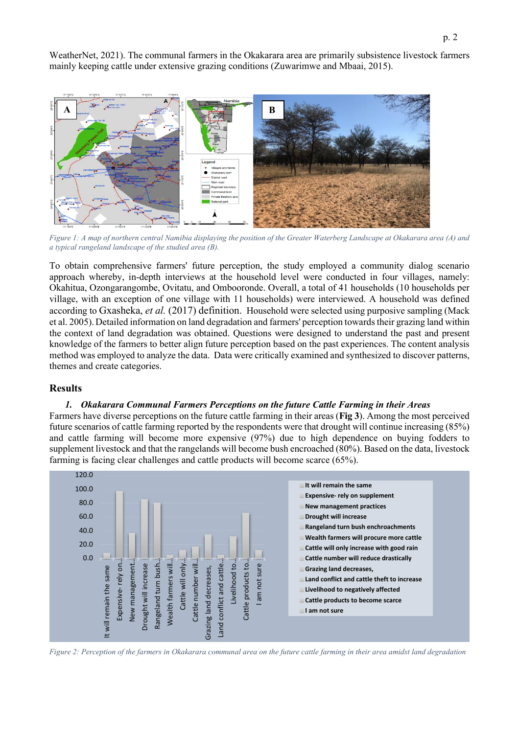WeatherNet, 2021). The communal farmers in the Okakarara area are primarily subsistence livestock farmers mainly keeping cattle under extensive grazing conditions (Zuwarimwe and Mbaai, 2015).



*Figure 1: A map of northern central Namibia displaying the position of the Greater Waterberg Landscape at Okakarara area (A) and a typical rangeland landscape of the studied area (B).* 

To obtain comprehensive farmers' future perception, the study employed a community dialog scenario approach whereby, in-depth interviews at the household level were conducted in four villages, namely: Okahitua, Ozongarangombe, Ovitatu, and Ombooronde. Overall, a total of 41 households (10 households per village, with an exception of one village with 11 households) were interviewed. A household was defined according to Gxasheka, *et al.* (2017) definition. Household were selected using purposive sampling (Mack et al. 2005). Detailed information on land degradation and farmers' perception towards their grazing land within the context of land degradation was obtained. Questions were designed to understand the past and present knowledge of the farmers to better align future perception based on the past experiences. The content analysis method was employed to analyze the data. Data were critically examined and synthesized to discover patterns, themes and create categories.

### **Results**

#### *1. Okakarara Communal Farmers Perceptions on the future Cattle Farming in their Areas*

Farmers have diverse perceptions on the future cattle farming in their areas (**Fig 3**). Among the most perceived future scenarios of cattle farming reported by the respondents were that drought will continue increasing (85%) and cattle farming will become more expensive (97%) due to high dependence on buying fodders to supplement livestock and that the rangelands will become bush encroached (80%). Based on the data, livestock farming is facing clear challenges and cattle products will become scarce (65%).



*Figure 2: Perception of the farmers in Okakarara communal area on the future cattle farming in their area amidst land degradation*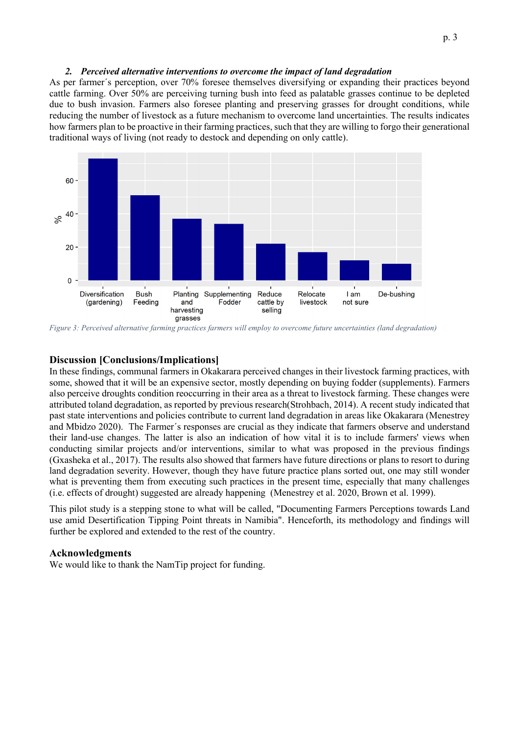#### *2. Perceived alternative interventions to overcome the impact of land degradation*

As per farmer´s perception, over 70% foresee themselves diversifying or expanding their practices beyond cattle farming. Over 50% are perceiving turning bush into feed as palatable grasses continue to be depleted due to bush invasion. Farmers also foresee planting and preserving grasses for drought conditions, while reducing the number of livestock as a future mechanism to overcome land uncertainties. The results indicates how farmers plan to be proactive in their farming practices, such that they are willing to forgo their generational traditional ways of living (not ready to destock and depending on only cattle).



*Figure 3: Perceived alternative farming practices farmers will employ to overcome future uncertainties (land degradation)*

# **Discussion [Conclusions/Implications]**

In these findings, communal farmers in Okakarara perceived changes in their livestock farming practices, with some, showed that it will be an expensive sector, mostly depending on buying fodder (supplements). Farmers also perceive droughts condition reoccurring in their area as a threat to livestock farming. These changes were attributed toland degradation, as reported by previous research(Strohbach, 2014). A recent study indicated that past state interventions and policies contribute to current land degradation in areas like Okakarara (Menestrey and Mbidzo 2020). The Farmer´s responses are crucial as they indicate that farmers observe and understand their land-use changes. The latter is also an indication of how vital it is to include farmers' views when conducting similar projects and/or interventions, similar to what was proposed in the previous findings (Gxasheka et al., 2017). The results also showed that farmers have future directions or plans to resort to during land degradation severity. However, though they have future practice plans sorted out, one may still wonder what is preventing them from executing such practices in the present time, especially that many challenges (i.e. effects of drought) suggested are already happening (Menestrey et al. 2020, Brown et al. 1999).

This pilot study is a stepping stone to what will be called, "Documenting Farmers Perceptions towards Land use amid Desertification Tipping Point threats in Namibia". Henceforth, its methodology and findings will further be explored and extended to the rest of the country.

#### **Acknowledgments**

We would like to thank the NamTip project for funding.